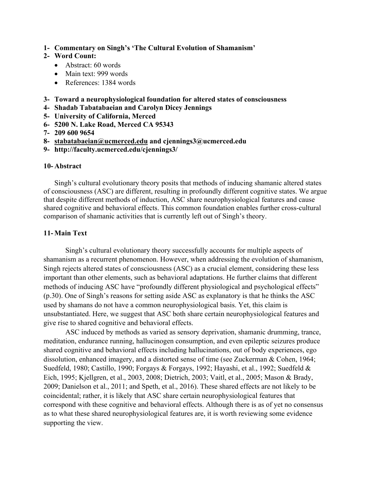**1- Commentary on Singh's 'The Cultural Evolution of Shamanism'**

## **2- Word Count:**

- Abstract: 60 words
- Main text: 999 words
- References: 1384 words
- **3- Toward a neurophysiological foundation for altered states of consciousness**
- **4- Shadab Tabatabaeian and Carolyn Dicey Jennings**
- **5- University of California, Merced**
- **6- 5200 N. Lake Road, Merced CA 95343**
- **7- 209 600 9654**
- **8- stabatabaeian@ucmerced.edu and cjennings3@ucmerced.edu**
- **9- http://faculty.ucmerced.edu/cjennings3/**

## **10- Abstract**

Singh's cultural evolutionary theory posits that methods of inducing shamanic altered states of consciousness (ASC) are different, resulting in profoundly different cognitive states. We argue that despite different methods of induction, ASC share neurophysiological features and cause shared cognitive and behavioral effects. This common foundation enables further cross-cultural comparison of shamanic activities that is currently left out of Singh's theory.

## **11- Main Text**

Singh's cultural evolutionary theory successfully accounts for multiple aspects of shamanism as a recurrent phenomenon. However, when addressing the evolution of shamanism, Singh rejects altered states of consciousness (ASC) as a crucial element, considering these less important than other elements, such as behavioral adaptations. He further claims that different methods of inducing ASC have "profoundly different physiological and psychological effects" (p.30). One of Singh's reasons for setting aside ASC as explanatory is that he thinks the ASC used by shamans do not have a common neurophysiological basis. Yet, this claim is unsubstantiated. Here, we suggest that ASC both share certain neurophysiological features and give rise to shared cognitive and behavioral effects.

ASC induced by methods as varied as sensory deprivation, shamanic drumming, trance, meditation, endurance running, hallucinogen consumption, and even epileptic seizures produce shared cognitive and behavioral effects including hallucinations, out of body experiences, ego dissolution, enhanced imagery, and a distorted sense of time (see Zuckerman & Cohen, 1964; Suedfeld, 1980; Castillo, 1990; Forgays & Forgays, 1992; Hayashi, et al., 1992; Suedfeld & Eich, 1995; Kjellgren, et al., 2003, 2008; Dietrich, 2003; Vaitl, et al., 2005; Mason & Brady, 2009; Danielson et al., 2011; and Speth, et al., 2016). These shared effects are not likely to be coincidental; rather, it is likely that ASC share certain neurophysiological features that correspond with these cognitive and behavioral effects. Although there is as of yet no consensus as to what these shared neurophysiological features are, it is worth reviewing some evidence supporting the view.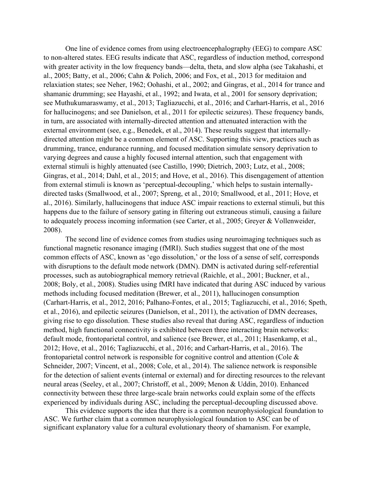One line of evidence comes from using electroencephalography (EEG) to compare ASC to non-altered states. EEG results indicate that ASC, regardless of induction method, correspond with greater activity in the low frequency bands—delta, theta, and slow alpha (see Takahashi, et al., 2005; Batty, et al., 2006; Cahn & Polich, 2006; and Fox, et al., 2013 for meditaion and relaxiation states; see Neher, 1962; Oohashi, et al., 2002; and Gingras, et al., 2014 for trance and shamanic drumming; see Hayashi, et al., 1992; and Iwata, et al., 2001 for sensory deprivation; see Muthukumaraswamy, et al., 2013; Tagliazucchi, et al., 2016; and Carhart-Harris, et al., 2016 for hallucinogens; and see Danielson, et al., 2011 for epilectic seizures). These frequency bands, in turn, are associated with internally-directed attention and attenuated interaction with the external environment (see, e.g., Benedek, et al., 2014). These results suggest that internallydirected attention might be a common element of ASC. Supporting this view, practices such as drumming, trance, endurance running, and focused meditation simulate sensory deprivation to varying degrees and cause a highly focused internal attention, such that engagement with external stimuli is highly attenuated (see Castillo, 1990; Dietrich, 2003; Lutz, et al., 2008; Gingras, et al., 2014; Dahl, et al., 2015; and Hove, et al., 2016). This disengagement of attention from external stimuli is known as 'perceptual-decoupling,' which helps to sustain internallydirected tasks (Smallwood, et al., 2007; Spreng, et al., 2010; Smallwood, et al., 2011; Hove, et al., 2016). Similarly, hallucinogens that induce ASC impair reactions to external stimuli, but this happens due to the failure of sensory gating in filtering out extraneous stimuli, causing a failure to adequately process incoming information (see Carter, et al., 2005; Greyer & Vollenweider, 2008).

The second line of evidence comes from studies using neuroimaging techniques such as functional magnetic resonance imaging (fMRI). Such studies suggest that one of the most common effects of ASC, known as 'ego dissolution,' or the loss of a sense of self, corresponds with disruptions to the default mode network (DMN). DMN is activated during self-referential processes, such as autobiographical memory retrieval (Raichle, et al., 2001; Buckner, et al., 2008; Boly, et al., 2008). Studies using fMRI have indicated that during ASC induced by various methods including focused meditation (Brewer, et al., 2011), hallucinogen consumption (Carhart-Harris, et al., 2012, 2016; Palhano-Fontes, et al., 2015; Tagliazucchi, et al., 2016; Speth, et al., 2016), and epilectic seizures (Danielson, et al., 2011), the activation of DMN decreases, giving rise to ego dissolution. These studies also reveal that during ASC, regardless of induction method, high functional connectivity is exhibited between three interacting brain networks: default mode, frontoparietal control, and salience (see Brewer, et al., 2011; Hasenkamp, et al., 2012; Hove, et al., 2016; Tagliazucchi, et al., 2016; and Carhart-Harris, et al., 2016). The frontoparietal control network is responsible for cognitive control and attention (Cole & Schneider, 2007; Vincent, et al., 2008; Cole, et al., 2014). The salience network is responsible for the detection of salient events (internal or external) and for directing resources to the relevant neural areas (Seeley, et al., 2007; Christoff, et al., 2009; Menon & Uddin, 2010). Enhanced connectivity between these three large-scale brain networks could explain some of the effects experienced by individuals during ASC, including the perceptual-decoupling discussed above.

This evidence supports the idea that there is a common neurophysiological foundation to ASC. We further claim that a common neurophysiological foundation to ASC can be of significant explanatory value for a cultural evolutionary theory of shamanism. For example,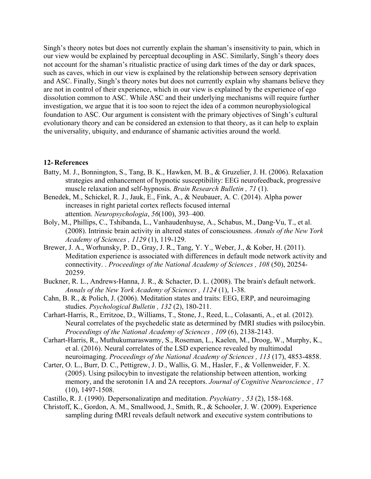Singh's theory notes but does not currently explain the shaman's insensitivity to pain, which in our view would be explained by perceptual decoupling in ASC. Similarly, Singh's theory does not account for the shaman's ritualistic practice of using dark times of the day or dark spaces, such as caves, which in our view is explained by the relationship between sensory deprivation and ASC. Finally, Singh's theory notes but does not currently explain why shamans believe they are not in control of their experience, which in our view is explained by the experience of ego dissolution common to ASC. While ASC and their underlying mechanisms will require further investigation, we argue that it is too soon to reject the idea of a common neurophysiological foundation to ASC. Our argument is consistent with the primary objectives of Singh's cultural evolutionary theory and can be considered an extension to that theory, as it can help to explain the universality, ubiquity, and endurance of shamanic activities around the world.

## **12- References**

- Batty, M. J., Bonnington, S., Tang, B. K., Hawken, M. B., & Gruzelier, J. H. (2006). Relaxation strategies and enhancement of hypnotic susceptibility: EEG neurofeedback, progressive muscle relaxation and self-hypnosis. *Brain Research Bulletin , 71* (1).
- Benedek, M., Schickel, R. J., Jauk, E., Fink, A., & Neubauer, A. C. (2014). Alpha power increases in right parietal cortex reflects focused internal attention. *Neuropsychologia*, *56*(100), 393–400.
- Boly, M., Phillips, C., Tshibanda, L., Vanhaudenhuyse, A., Schabus, M., Dang-Vu, T., et al. (2008). Intrinsic brain activity in altered states of consciousness. *Annals of the New York Academy of Sciences , 1129* (1), 119-129.
- Brewer, J. A., Worhunsky, P. D., Gray, J. R., Tang, Y. Y., Weber, J., & Kober, H. (2011). Meditation experience is associated with differences in default mode network activity and connectivity. . *Proceedings of the National Academy of Sciences , 108* (50), 20254- 20259.
- Buckner, R. L., Andrews-Hanna, J. R., & Schacter, D. L. (2008). The brain's default network. *Annals of the New York Academy of Sciences , 1124* (1), 1-38.
- Cahn, B. R., & Polich, J. (2006). Meditation states and traits: EEG, ERP, and neuroimaging studies. *Psychological Bulletin , 132* (2), 180-211.
- Carhart-Harris, R., Erritzoe, D., Williams, T., Stone, J., Reed, L., Colasanti, A., et al. (2012). Neural correlates of the psychedelic state as determined by fMRI studies with psilocybin. *Proceedings of the National Academy of Sciences , 109* (6), 2138-2143.
- Carhart-Harris, R., Muthukumaraswamy, S., Roseman, L., Kaelen, M., Droog, W., Murphy, K., et al. (2016). Neural correlates of the LSD experience revealed by multimodal neuroimaging. *Proceedings of the National Academy of Sciences , 113* (17), 4853-4858.
- Carter, O. L., Burr, D. C., Pettigrew, J. D., Wallis, G. M., Hasler, F., & Vollenweider, F. X. (2005). Using psilocybin to investigate the relationship between attention, working memory, and the serotonin 1A and 2A receptors. *Journal of Cognitive Neuroscience , 17* (10), 1497-1508.
- Castillo, R. J. (1990). Depersonalizatipn and meditation. *Psychiatry , 53* (2), 158-168.
- Christoff, K., Gordon, A. M., Smallwood, J., Smith, R., & Schooler, J. W. (2009). Experience sampling during fMRI reveals default network and executive system contributions to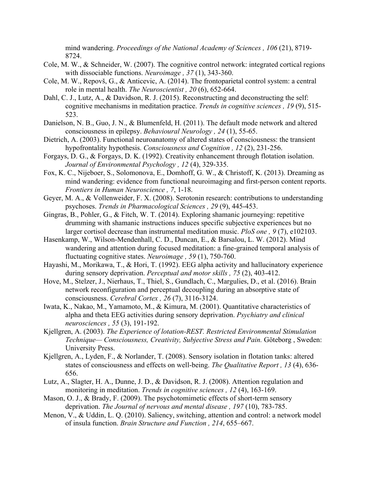mind wandering. *Proceedings of the National Academy of Sciences , 106* (21), 8719- 8724.

- Cole, M. W., & Schneider, W. (2007). The cognitive control network: integrated cortical regions with dissociable functions. *Neuroimage , 37* (1), 343-360.
- Cole, M. W., Repovš, G., & Anticevic, A. (2014). The frontoparietal control system: a central role in mental health. *The Neuroscientist , 20* (6), 652-664.
- Dahl, C. J., Lutz, A., & Davidson, R. J. (2015). Reconstructing and deconstructing the self: cognitive mechanisms in meditation practice. *Trends in cognitive sciences , 19* (9), 515- 523.
- Danielson, N. B., Guo, J. N., & Blumenfeld, H. (2011). The default mode network and altered consciousness in epilepsy. *Behavioural Neurology , 24* (1), 55-65.
- Dietrich, A. (2003). Functional neuroanatomy of altered states of consciousness: the transient hypofrontality hypothesis. *Consciousness and Cognition , 12* (2), 231-256.
- Forgays, D. G., & Forgays, D. K. (1992). Creativity enhancement through flotation isolation. *Journal of Environmental Psychology , 12* (4), 329-335.
- Fox, K. C., Nijeboer, S., Solomonova, E., Domhoff, G. W., & Christoff, K. (2013). Dreaming as mind wandering: evidence from functional neuroimaging and first-person content reports. *Frontiers in Human Neuroscience , 7*, 1-18.
- Geyer, M. A., & Vollenweider, F. X. (2008). Serotonin research: contributions to understanding psychoses. *Trends in Pharmacological Sciences , 29* (9), 445-453.
- Gingras, B., Pohler, G., & Fitch, W. T. (2014). Exploring shamanic journeying: repetitive drumming with shamanic instructions induces specific subjective experiences but no larger cortisol decrease than instrumental meditation music. *PloS one , 9* (7), e102103.
- Hasenkamp, W., Wilson-Mendenhall, C. D., Duncan, E., & Barsalou, L. W. (2012). Mind wandering and attention during focused meditation: a fine-grained temporal analysis of fluctuating cognitive states. *Neuroimage , 59* (1), 750-760.
- Hayashi, M., Morikawa, T., & Hori, T. (1992). EEG alpha activity and hallucinatory experience during sensory deprivation. *Perceptual and motor skills , 75* (2), 403-412.
- Hove, M., Stelzer, J., Nierhaus, T., Thiel, S., Gundlach, C., Margulies, D., et al. (2016). Brain network reconfiguration and perceptual decoupling during an absorptive state of consciousness. *Cerebral Cortex , 26* (7), 3116-3124.
- Iwata, K., Nakao, M., Yamamoto, M., & Kimura, M. (2001). Quantitative characteristics of alpha and theta EEG activities during sensory deprivation. *Psychiatry and clinical neurosciences , 55* (3), 191-192.
- Kjellgren, A. (2003). *The Experience of lotation-REST. Restricted Environmental Stimulation Technique— Consciousness, Creativity, Subjective Stress and Pain.* Göteborg , Sweden: University Press.
- Kjellgren, A., Lyden, F., & Norlander, T. (2008). Sensory isolation in flotation tanks: altered states of consciousness and effects on well-being. *The Qualitative Report , 13* (4), 636- 656.
- Lutz, A., Slagter, H. A., Dunne, J. D., & Davidson, R. J. (2008). Attention regulation and monitoring in meditation. *Trends in cognitive sciences , 12* (4), 163-169.
- Mason, O. J., & Brady, F. (2009). The psychotomimetic effects of short-term sensory deprivation. *The Journal of nervous and mental disease , 197* (10), 783-785.
- Menon, V., & Uddin, L. Q. (2010). Saliency, switching, attention and control: a network model of insula function. *Brain Structure and Function , 214*, 655–667.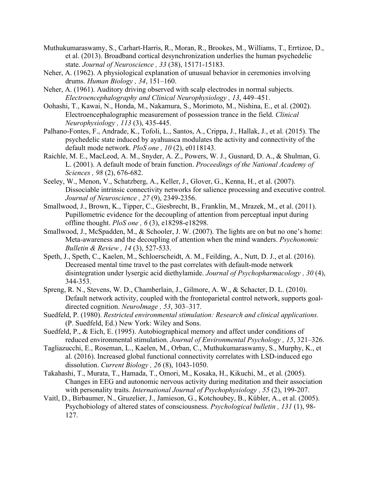- Muthukumaraswamy, S., Carhart-Harris, R., Moran, R., Brookes, M., Williams, T., Errtizoe, D., et al. (2013). Broadband cortical desynchronization underlies the human psychedelic state. *Journal of Neuroscience , 33* (38), 15171-15183.
- Neher, A. (1962). A physiological explanation of unusual behavior in ceremonies involving drums. *Human Biology , 34*, 151–160.
- Neher, A. (1961). Auditory driving observed with scalp electrodes in normal subjects. *Electroencephalography and Clinical Neurophysiology , 13*, 449–451.
- Oohashi, T., Kawai, N., Honda, M., Nakamura, S., Morimoto, M., Nishina, E., et al. (2002). Electroencephalographic measurement of possession trance in the field. *Clinical Neurophysiology , 113* (3), 435-445.
- Palhano-Fontes, F., Andrade, K., Tofoli, L., Santos, A., Crippa, J., Hallak, J., et al. (2015). The psychedelic state induced by ayahuasca modulates the activity and connectivity of the default mode network. *PloS one , 10* (2), e0118143.
- Raichle, M. E., MacLeod, A. M., Snyder, A. Z., Powers, W. J., Gusnard, D. A., & Shulman, G. L. (2001). A default mode of brain function. *Proceedings of the National Academy of Sciences , 98* (2), 676-682.
- Seeley, W., Menon, V., Schatzberg, A., Keller, J., Glover, G., Kenna, H., et al. (2007). Dissociable intrinsic connectivity networks for salience processing and executive control. *Journal of Neuroscience , 27* (9), 2349-2356.
- Smallwood, J., Brown, K., Tipper, C., Giesbrecht, B., Franklin, M., Mrazek, M., et al. (2011). Pupillometric evidence for the decoupling of attention from perceptual input during offline thought. *PloS one , 6* (3), e18298-e18298.
- Smallwood, J., McSpadden, M., & Schooler, J. W. (2007). The lights are on but no one's home: Meta-awareness and the decoupling of attention when the mind wanders. *Psychonomic Bulletin & Review , 14* (3), 527-533.
- Speth, J., Speth, C., Kaelen, M., Schloerscheidt, A. M., Feilding, A., Nutt, D. J., et al. (2016). Decreased mental time travel to the past correlates with default-mode network disintegration under lysergic acid diethylamide. *Journal of Psychopharmacology , 30* (4), 344-353.
- Spreng, R. N., Stevens, W. D., Chamberlain, J., Gilmore, A. W., & Schacter, D. L. (2010). Default network activity, coupled with the frontoparietal control network, supports goaldirected cognition. *NeuroImage , 53*, 303–317.
- Suedfeld, P. (1980). *Restricted environmental stimulation: Research and clinical applications.* (P. Suedfeld, Ed.) New York: Wiley and Sons.
- Suedfeld, P., & Eich, E. (1995). Autobiographical memory and affect under conditions of reduced environmental stimulation. *Journal of Environmental Psychology , 15*, 321–326.
- Tagliazucchi, E., Roseman, L., Kaelen, M., Orban, C., Muthukumaraswamy, S., Murphy, K., et al. (2016). Increased global functional connectivity correlates with LSD-induced ego dissolution. *Current Biology , 26* (8), 1043-1050.
- Takahashi, T., Murata, T., Hamada, T., Omori, M., Kosaka, H., Kikuchi, M., et al. (2005). Changes in EEG and autonomic nervous activity during meditation and their association with personality traits. *International Journal of Psychophysiology , 55* (2), 199-207.
- Vaitl, D., Birbaumer, N., Gruzelier, J., Jamieson, G., Kotchoubey, B., Kübler, A., et al. (2005). Psychobiology of altered states of consciousness. *Psychological bulletin , 131* (1), 98- 127.